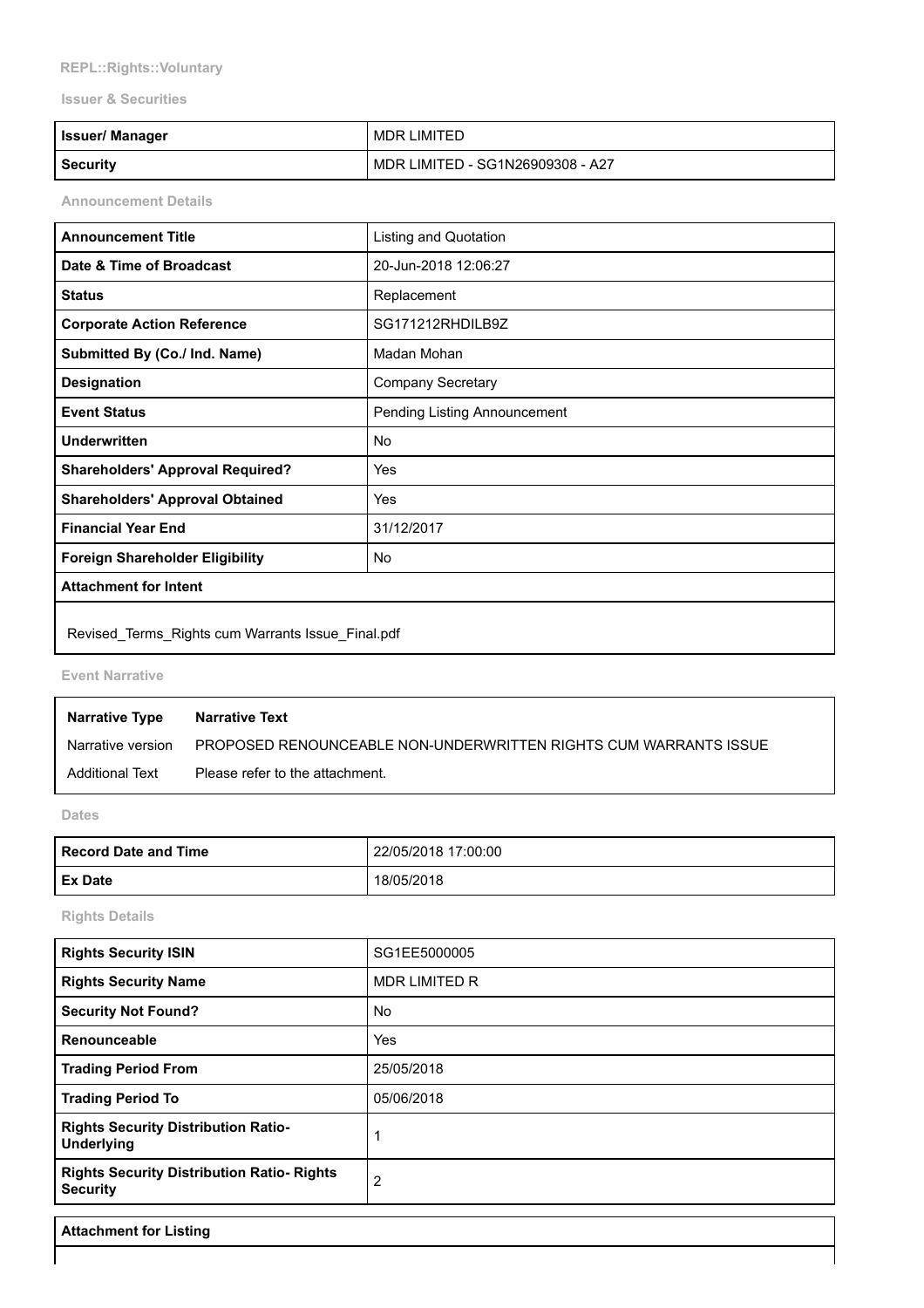## **REPL::Rights::Voluntary**

## **Issuer & Securities**

| <b>Issuer/ Manager</b> | MDR LIMITED                      |
|------------------------|----------------------------------|
| <b>Security</b>        | MDR LIMITED - SG1N26909308 - A27 |

**Announcement Details**

| <b>Announcement Title</b>                         | <b>Listing and Quotation</b> |  |
|---------------------------------------------------|------------------------------|--|
| Date & Time of Broadcast                          | 20-Jun-2018 12:06:27         |  |
| <b>Status</b>                                     | Replacement                  |  |
| <b>Corporate Action Reference</b>                 | SG171212RHDILB9Z             |  |
| Submitted By (Co./ Ind. Name)                     | Madan Mohan                  |  |
| <b>Designation</b>                                | <b>Company Secretary</b>     |  |
| <b>Event Status</b>                               | Pending Listing Announcement |  |
| <b>Underwritten</b>                               | No                           |  |
| <b>Shareholders' Approval Required?</b>           | Yes                          |  |
| <b>Shareholders' Approval Obtained</b>            | Yes                          |  |
| <b>Financial Year End</b>                         | 31/12/2017                   |  |
| <b>Foreign Shareholder Eligibility</b>            | No                           |  |
| <b>Attachment for Intent</b>                      |                              |  |
| Revised Terms Rights cum Warrants Issue Final.pdf |                              |  |

**Event Narrative**

| <b>Narrative Type</b> | <b>Narrative Text</b>                                            |
|-----------------------|------------------------------------------------------------------|
| Narrative version     | PROPOSED RENOUNCEABLE NON-UNDERWRITTEN RIGHTS CUM WARRANTS ISSUE |
| Additional Text       | Please refer to the attachment.                                  |

**Dates**

| <b>Record Date and Time</b> | 22/05/2018 17:00:00 |
|-----------------------------|---------------------|
| <b>Ex Date</b>              | 18/05/2018          |

**Rights Details**

| <b>Rights Security ISIN</b>                                          | SG1EE5000005         |
|----------------------------------------------------------------------|----------------------|
| <b>Rights Security Name</b>                                          | <b>MDR LIMITED R</b> |
| <b>Security Not Found?</b>                                           | <b>No</b>            |
| Renounceable                                                         | Yes                  |
| <b>Trading Period From</b>                                           | 25/05/2018           |
| <b>Trading Period To</b>                                             | 05/06/2018           |
| <b>Rights Security Distribution Ratio-</b><br><b>Underlying</b>      |                      |
| <b>Rights Security Distribution Ratio- Rights</b><br><b>Security</b> | 2                    |

**Attachment for Listing**